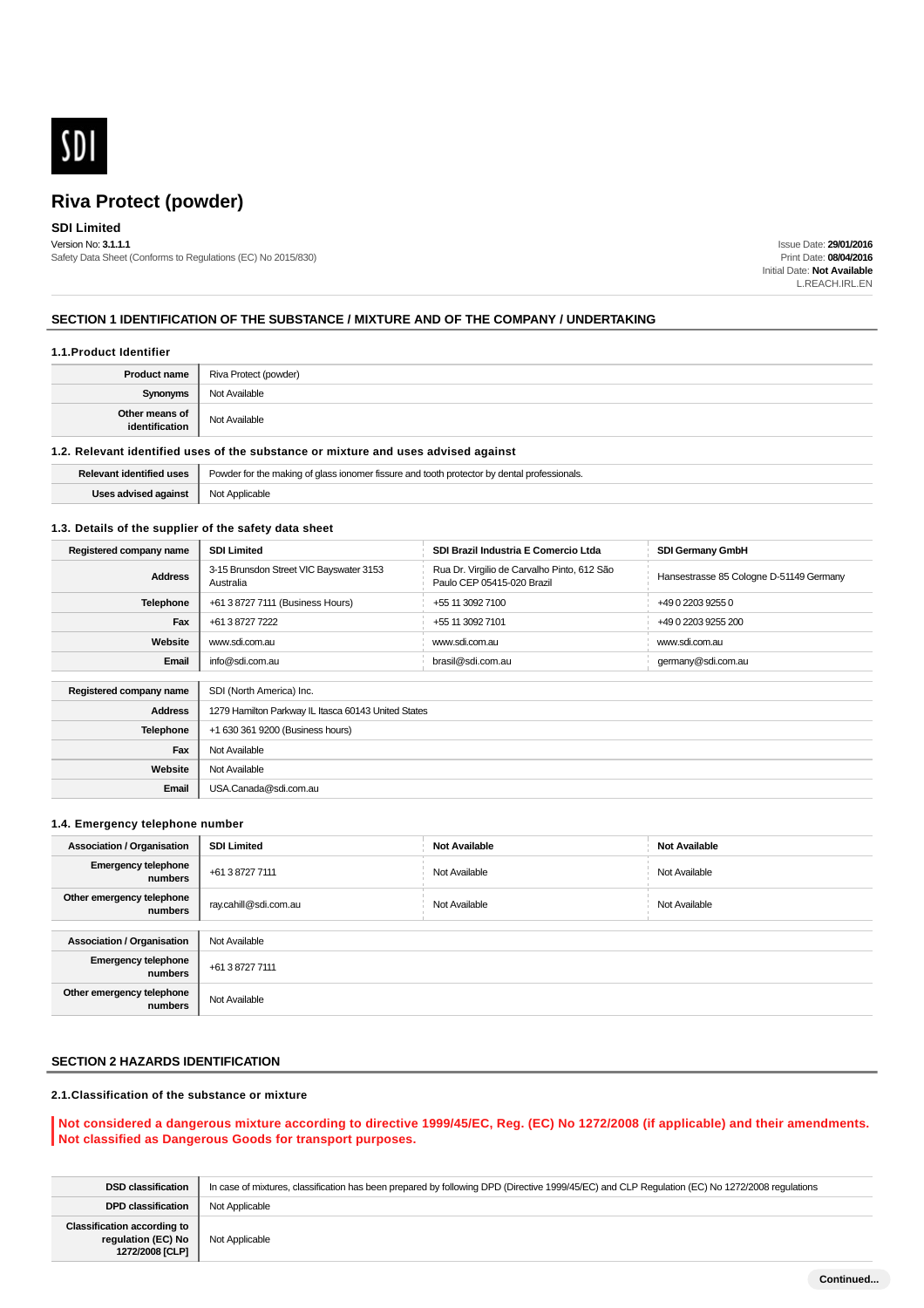

# **SDI Limited**

Version No: **3.1.1.1** Safety Data Sheet (Conforms to Regulations (EC) No 2015/830)

Issue Date: **29/01/2016** Print Date: **08/04/2016** Initial Date: **Not Available** L.REACH.IRL.EN

#### **SECTION 1 IDENTIFICATION OF THE SUBSTANCE / MIXTURE AND OF THE COMPANY / UNDERTAKING**

#### **1.1.Product Identifier**

| <b>Product name</b>              | Riva Protect (powder) |
|----------------------------------|-----------------------|
| Synonyms                         | Not Available         |
| Other means of<br>identification | Not Available         |

#### **1.2. Relevant identified uses of the substance or mixture and uses advised against**

|                                              | <b>Relevant identified uses</b> Powder for the making of glass ionomer fissure and tooth protector by dental professionals. |
|----------------------------------------------|-----------------------------------------------------------------------------------------------------------------------------|
| <b>Uses advised against</b>   Not Applicable |                                                                                                                             |

#### **1.3. Details of the supplier of the safety data sheet**

| Registered company name | <b>SDI Limited</b>                                   | SDI Brazil Industria E Comercio Ltda                                      | <b>SDI Germany GmbH</b>                 |  |
|-------------------------|------------------------------------------------------|---------------------------------------------------------------------------|-----------------------------------------|--|
| <b>Address</b>          | 3-15 Brunsdon Street VIC Bayswater 3153<br>Australia | Rua Dr. Virgilio de Carvalho Pinto, 612 São<br>Paulo CEP 05415-020 Brazil | Hansestrasse 85 Cologne D-51149 Germany |  |
| <b>Telephone</b>        | +61 3 8727 7111 (Business Hours)                     | +55 11 3092 7100                                                          | +49 0 2203 9255 0                       |  |
| Fax                     | +61 3 8727 7222                                      | +55 11 3092 7101                                                          | +49 0 2203 9255 200                     |  |
| Website                 | www.sdi.com.au                                       | www.sdi.com.au                                                            | www.sdi.com.au                          |  |
| Email                   | info@sdi.com.au                                      | brasil@sdi.com.au                                                         | germany@sdi.com.au                      |  |
|                         |                                                      |                                                                           |                                         |  |
| Registered company name | SDI (North America) Inc.                             |                                                                           |                                         |  |
| <b>Address</b>          | 1279 Hamilton Parkway IL Itasca 60143 United States  |                                                                           |                                         |  |
| <b>Telephone</b>        | +1 630 361 9200 (Business hours)                     |                                                                           |                                         |  |
| Fax                     | Not Available                                        |                                                                           |                                         |  |
| Website                 | Not Available                                        |                                                                           |                                         |  |
| Email                   | USA.Canada@sdi.com.au                                |                                                                           |                                         |  |

#### **1.4. Emergency telephone number**

| <b>Association / Organisation</b>     | <b>SDI Limited</b>    | <b>Not Available</b> | <b>Not Available</b> |
|---------------------------------------|-----------------------|----------------------|----------------------|
| <b>Emergency telephone</b><br>numbers | +61 3 8727 7111       | Not Available        | Not Available        |
| Other emergency telephone<br>numbers  | ray.cahill@sdi.com.au | Not Available        | Not Available        |
|                                       |                       |                      |                      |
| <b>Association / Organisation</b>     | Not Available         |                      |                      |
| <b>Emergency telephone</b><br>numbers | +61 3 8727 7111       |                      |                      |
| Other emergency telephone<br>numbers  | Not Available         |                      |                      |

# **SECTION 2 HAZARDS IDENTIFICATION**

## **2.1.Classification of the substance or mixture**

#### **Not considered a dangerous mixture according to directive 1999/45/EC, Reg. (EC) No 1272/2008 (if applicable) and their amendments. Not classified as Dangerous Goods for transport purposes.**

| <b>DSD classification</b>                                                   | In case of mixtures, classification has been prepared by following DPD (Directive 1999/45/EC) and CLP Requlation (EC) No 1272/2008 requlations |
|-----------------------------------------------------------------------------|------------------------------------------------------------------------------------------------------------------------------------------------|
| <b>DPD classification</b>                                                   | Not Applicable                                                                                                                                 |
| <b>Classification according to</b><br>regulation (EC) No<br>1272/2008 [CLP] | Not Applicable                                                                                                                                 |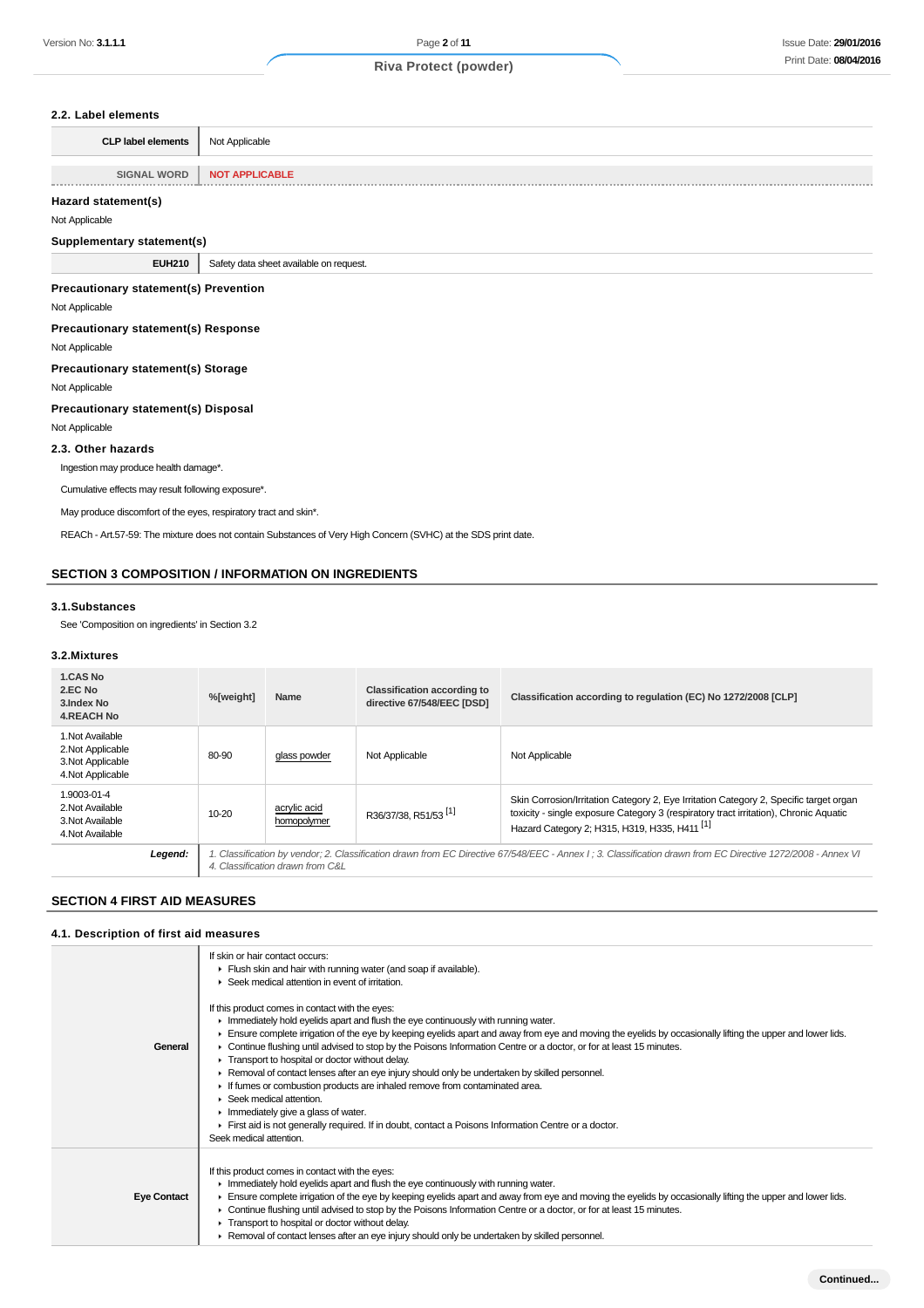#### **2.2. Label elements**

| <b>CLP label elements</b> | Not Applicable        |
|---------------------------|-----------------------|
|                           |                       |
| <b>SIGNAL WORD</b>        | <b>NOT APPLICABLE</b> |
|                           |                       |

# **Hazard statement(s)**

Not Applicable

#### **Supplementary statement(s)**

**EUH210** Safety data sheet available on request.

#### **Precautionary statement(s) Prevention**

Not Applicable

**Precautionary statement(s) Response**

## Not Applicable

**Precautionary statement(s) Storage**

Not Applicable

#### **Precautionary statement(s) Disposal**

Not Applicable

#### **2.3. Other hazards**

Ingestion may produce health damage\*.

Cumulative effects may result following exposure\*.

May produce discomfort of the eyes, respiratory tract and skin\*.

REACh - Art.57-59: The mixture does not contain Substances of Very High Concern (SVHC) at the SDS print date.

## **SECTION 3 COMPOSITION / INFORMATION ON INGREDIENTS**

#### **3.1.Substances**

See 'Composition on ingredients' in Section 3.2

#### **3.2.Mixtures**

| 1.CAS No<br>2.EC No<br>3. Index No<br><b>4.REACH No</b>                         | %[weight] | Name                                                                                                                                                                                            | <b>Classification according to</b><br>directive 67/548/EEC [DSD] | Classification according to regulation (EC) No 1272/2008 [CLP]                                                                                                                                                                              |
|---------------------------------------------------------------------------------|-----------|-------------------------------------------------------------------------------------------------------------------------------------------------------------------------------------------------|------------------------------------------------------------------|---------------------------------------------------------------------------------------------------------------------------------------------------------------------------------------------------------------------------------------------|
| 1. Not Available<br>2. Not Applicable<br>3. Not Applicable<br>4. Not Applicable | 80-90     | glass powder                                                                                                                                                                                    | Not Applicable                                                   | Not Applicable                                                                                                                                                                                                                              |
| 1.9003-01-4<br>2. Not Available<br>3. Not Available<br>4. Not Available         | 10-20     | acrylic acid<br>homopolymer                                                                                                                                                                     | R36/37/38, R51/53 <sup>[1]</sup>                                 | Skin Corrosion/Irritation Category 2, Eye Irritation Category 2, Specific target organ<br>toxicity - single exposure Category 3 (respiratory tract irritation), Chronic Aquatic<br>Hazard Category 2; H315, H319, H335, H411 <sup>[1]</sup> |
| Legend:                                                                         |           | 1. Classification by vendor; 2. Classification drawn from EC Directive 67/548/EEC - Annex I; 3. Classification drawn from EC Directive 1272/2008 - Annex VI<br>4. Classification drawn from C&L |                                                                  |                                                                                                                                                                                                                                             |

## **SECTION 4 FIRST AID MEASURES**

#### **4.1. Description of first aid measures**

|                    | If skin or hair contact occurs:                                                                                                                                                                                                                                                                                                                                                                                                                                                                                                                                                   |
|--------------------|-----------------------------------------------------------------------------------------------------------------------------------------------------------------------------------------------------------------------------------------------------------------------------------------------------------------------------------------------------------------------------------------------------------------------------------------------------------------------------------------------------------------------------------------------------------------------------------|
|                    | Flush skin and hair with running water (and soap if available).                                                                                                                                                                                                                                                                                                                                                                                                                                                                                                                   |
|                    | Seek medical attention in event of irritation.                                                                                                                                                                                                                                                                                                                                                                                                                                                                                                                                    |
| General            | If this product comes in contact with the eyes:<br>In Immediately hold eyelids apart and flush the eye continuously with running water.<br>Ensure complete irrigation of the eye by keeping eyelids apart and away from eye and moving the eyelids by occasionally lifting the upper and lower lids.<br>• Continue flushing until advised to stop by the Poisons Information Centre or a doctor, or for at least 15 minutes.<br>Transport to hospital or doctor without delay.<br>► Removal of contact lenses after an eye injury should only be undertaken by skilled personnel. |
|                    | If fumes or combustion products are inhaled remove from contaminated area.                                                                                                                                                                                                                                                                                                                                                                                                                                                                                                        |
|                    | Seek medical attention.                                                                                                                                                                                                                                                                                                                                                                                                                                                                                                                                                           |
|                    | $\blacktriangleright$ Immediately give a glass of water.                                                                                                                                                                                                                                                                                                                                                                                                                                                                                                                          |
|                    | First aid is not generally required. If in doubt, contact a Poisons Information Centre or a doctor.                                                                                                                                                                                                                                                                                                                                                                                                                                                                               |
|                    | Seek medical attention.                                                                                                                                                                                                                                                                                                                                                                                                                                                                                                                                                           |
|                    | If this product comes in contact with the eyes:<br>Inmediately hold eyelids apart and flush the eye continuously with running water.                                                                                                                                                                                                                                                                                                                                                                                                                                              |
| <b>Eye Contact</b> | Ensure complete irrigation of the eye by keeping eyelids apart and away from eye and moving the eyelids by occasionally lifting the upper and lower lids.                                                                                                                                                                                                                                                                                                                                                                                                                         |
|                    | ► Continue flushing until advised to stop by the Poisons Information Centre or a doctor, or for at least 15 minutes.                                                                                                                                                                                                                                                                                                                                                                                                                                                              |
|                    | Transport to hospital or doctor without delay.                                                                                                                                                                                                                                                                                                                                                                                                                                                                                                                                    |
|                    | ► Removal of contact lenses after an eye injury should only be undertaken by skilled personnel.                                                                                                                                                                                                                                                                                                                                                                                                                                                                                   |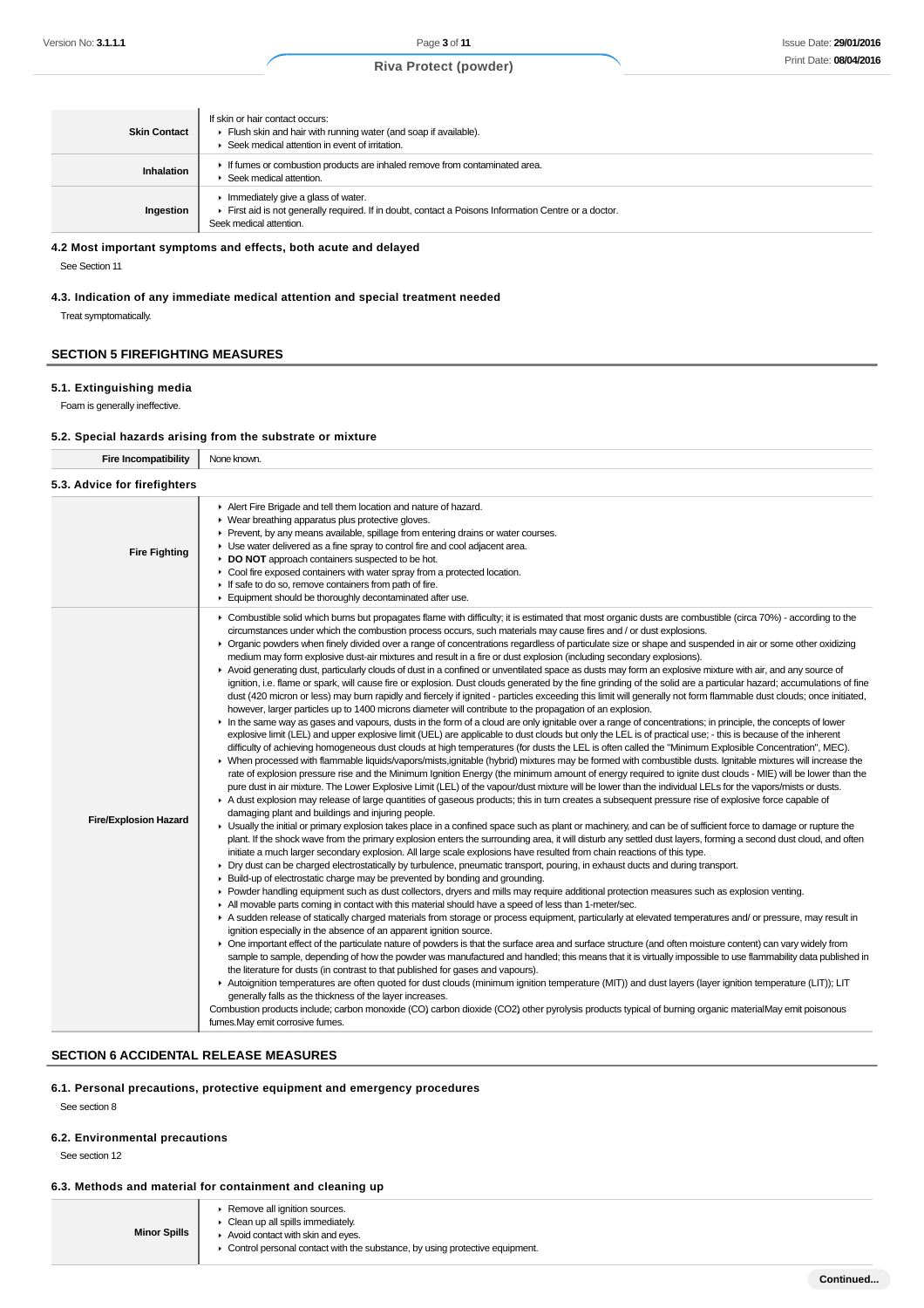| <b>Skin Contact</b> | If skin or hair contact occurs:<br>Flush skin and hair with running water (and soap if available).<br>Seek medical attention in event of irritation.                                       |
|---------------------|--------------------------------------------------------------------------------------------------------------------------------------------------------------------------------------------|
| Inhalation          | If fumes or combustion products are inhaled remove from contaminated area.<br>Seek medical attention.                                                                                      |
| Ingestion           | $\blacktriangleright$ Immediately give a glass of water.<br>First aid is not generally required. If in doubt, contact a Poisons Information Centre or a doctor.<br>Seek medical attention. |

**4.2 Most important symptoms and effects, both acute and delayed**

See Section 11

**4.3. Indication of any immediate medical attention and special treatment needed**

Treat symptomatically.

#### **SECTION 5 FIREFIGHTING MEASURES**

#### **5.1. Extinguishing media**

Foam is generally ineffective.

## **5.2. Special hazards arising from the substrate or mixture**

**Fire Incompatibility** None known.

| 5.3. Advice for firefighters |                                                                                                                                                                                                                                                                                                                                                                                                                                                                                                                                                                                                                                                                                                                                                                                                                                                                                                                                                                                                                                                                                                                                                                                                                                                                                                                                                                                                                                                                                                                                                                                                                                                                                                                                                                                                                                                                                                                                                                                                                                                                                                                                                                                                                                                                                                                                                                                                                                                                                                                                                                                                                                                                                                                                                                                                                                                                                                                                                                                                                                                                                                                                                                                                                                                                                                                                                                                                                                                                                                                                                                                                                                                                                                                                                                                                                                                                                                                                                                                                                                                                                                                                                                                                                                                                                                                                                                                                                   |
|------------------------------|-------------------------------------------------------------------------------------------------------------------------------------------------------------------------------------------------------------------------------------------------------------------------------------------------------------------------------------------------------------------------------------------------------------------------------------------------------------------------------------------------------------------------------------------------------------------------------------------------------------------------------------------------------------------------------------------------------------------------------------------------------------------------------------------------------------------------------------------------------------------------------------------------------------------------------------------------------------------------------------------------------------------------------------------------------------------------------------------------------------------------------------------------------------------------------------------------------------------------------------------------------------------------------------------------------------------------------------------------------------------------------------------------------------------------------------------------------------------------------------------------------------------------------------------------------------------------------------------------------------------------------------------------------------------------------------------------------------------------------------------------------------------------------------------------------------------------------------------------------------------------------------------------------------------------------------------------------------------------------------------------------------------------------------------------------------------------------------------------------------------------------------------------------------------------------------------------------------------------------------------------------------------------------------------------------------------------------------------------------------------------------------------------------------------------------------------------------------------------------------------------------------------------------------------------------------------------------------------------------------------------------------------------------------------------------------------------------------------------------------------------------------------------------------------------------------------------------------------------------------------------------------------------------------------------------------------------------------------------------------------------------------------------------------------------------------------------------------------------------------------------------------------------------------------------------------------------------------------------------------------------------------------------------------------------------------------------------------------------------------------------------------------------------------------------------------------------------------------------------------------------------------------------------------------------------------------------------------------------------------------------------------------------------------------------------------------------------------------------------------------------------------------------------------------------------------------------------------------------------------------------------------------------------------------------------------------------------------------------------------------------------------------------------------------------------------------------------------------------------------------------------------------------------------------------------------------------------------------------------------------------------------------------------------------------------------------------------------------------------------------------------------------------------------------|
| <b>Fire Fighting</b>         | Alert Fire Brigade and tell them location and nature of hazard.<br>• Wear breathing apparatus plus protective gloves.<br>▶ Prevent, by any means available, spillage from entering drains or water courses.<br>• Use water delivered as a fine spray to control fire and cool adjacent area.<br>DO NOT approach containers suspected to be hot.<br>Cool fire exposed containers with water spray from a protected location.<br>If safe to do so, remove containers from path of fire.<br>Equipment should be thoroughly decontaminated after use.                                                                                                                                                                                                                                                                                                                                                                                                                                                                                                                                                                                                                                                                                                                                                                                                                                                                                                                                                                                                                                                                                                                                                                                                                                                                                                                                                                                                                                                                                                                                                                                                                                                                                                                                                                                                                                                                                                                                                                                                                                                                                                                                                                                                                                                                                                                                                                                                                                                                                                                                                                                                                                                                                                                                                                                                                                                                                                                                                                                                                                                                                                                                                                                                                                                                                                                                                                                                                                                                                                                                                                                                                                                                                                                                                                                                                                                                 |
| <b>Fire/Explosion Hazard</b> | ► Combustible solid which burns but propagates flame with difficulty; it is estimated that most organic dusts are combustible (circa 70%) - according to the<br>circumstances under which the combustion process occurs, such materials may cause fires and / or dust explosions.<br>▶ Organic powders when finely divided over a range of concentrations regardless of particulate size or shape and suspended in air or some other oxidizing<br>medium may form explosive dust-air mixtures and result in a fire or dust explosion (including secondary explosions).<br>Avoid generating dust, particularly clouds of dust in a confined or unventilated space as dusts may form an explosive mixture with air, and any source of<br>ignition, i.e. flame or spark, will cause fire or explosion. Dust clouds generated by the fine grinding of the solid are a particular hazard; accumulations of fine<br>dust (420 micron or less) may burn rapidly and fiercely if ignited - particles exceeding this limit will generally not form flammable dust clouds; once initiated,<br>however, larger particles up to 1400 microns diameter will contribute to the propagation of an explosion.<br>In the same way as gases and vapours, dusts in the form of a cloud are only ignitable over a range of concentrations; in principle, the concepts of lower<br>explosive limit (LEL) and upper explosive limit (UEL) are applicable to dust clouds but only the LEL is of practical use; - this is because of the inherent<br>difficulty of achieving homogeneous dust clouds at high temperatures (for dusts the LEL is often called the "Minimum Explosible Concentration", MEC).<br>> When processed with flammable liquids/vapors/mists.ignitable (hybrid) mixtures may be formed with combustible dusts. Ignitable mixtures will increase the<br>rate of explosion pressure rise and the Minimum Ignition Energy (the minimum amount of energy required to ignite dust clouds - MIE) will be lower than the<br>pure dust in air mixture. The Lower Explosive Limit (LEL) of the vapour/dust mixture will be lower than the individual LELs for the vapors/mists or dusts.<br>A dust explosion may release of large quantities of gaseous products; this in turn creates a subsequent pressure rise of explosive force capable of<br>damaging plant and buildings and injuring people.<br>E Usually the initial or primary explosion takes place in a confined space such as plant or machinery, and can be of sufficient force to damage or rupture the<br>plant. If the shock wave from the primary explosion enters the surrounding area, it will disturb any settled dust layers, forming a second dust cloud, and often<br>initiate a much larger secondary explosion. All large scale explosions have resulted from chain reactions of this type.<br>• Dry dust can be charged electrostatically by turbulence, pneumatic transport, pouring, in exhaust ducts and during transport.<br>Exaild-up of electrostatic charge may be prevented by bonding and grounding.<br>▶ Powder handling equipment such as dust collectors, dryers and mills may require additional protection measures such as explosion venting.<br>In All movable parts coming in contact with this material should have a speed of less than 1-meter/sec.<br>A sudden release of statically charged materials from storage or process equipment, particularly at elevated temperatures and/ or pressure, may result in<br>ignition especially in the absence of an apparent ignition source.<br>• One important effect of the particulate nature of powders is that the surface area and surface structure (and often moisture content) can vary widely from<br>sample to sample, depending of how the powder was manufactured and handled; this means that it is virtually impossible to use flammability data published in<br>the literature for dusts (in contrast to that published for gases and vapours).<br>Autoignition temperatures are often quoted for dust clouds (minimum ignition temperature (MIT)) and dust layers (layer ignition temperature (LIT)); LIT<br>generally falls as the thickness of the layer increases.<br>Combustion products include; carbon monoxide (CO) carbon dioxide (CO2) other pyrolysis products typical of burning organic materialMay emit poisonous<br>fumes. May emit corrosive fumes. |

#### **SECTION 6 ACCIDENTAL RELEASE MEASURES**

**6.1. Personal precautions, protective equipment and emergency procedures**

See section 8

#### **6.2. Environmental precautions**

See section 12

# **6.3. Methods and material for containment and cleaning up**

| <b>Minor Spills</b> | ▶ Remove all ignition sources.<br>$\triangleright$ Clean up all spills immediately.<br>Avoid contact with skin and eyes.<br>• Control personal contact with the substance, by using protective equipment. |
|---------------------|-----------------------------------------------------------------------------------------------------------------------------------------------------------------------------------------------------------|
|---------------------|-----------------------------------------------------------------------------------------------------------------------------------------------------------------------------------------------------------|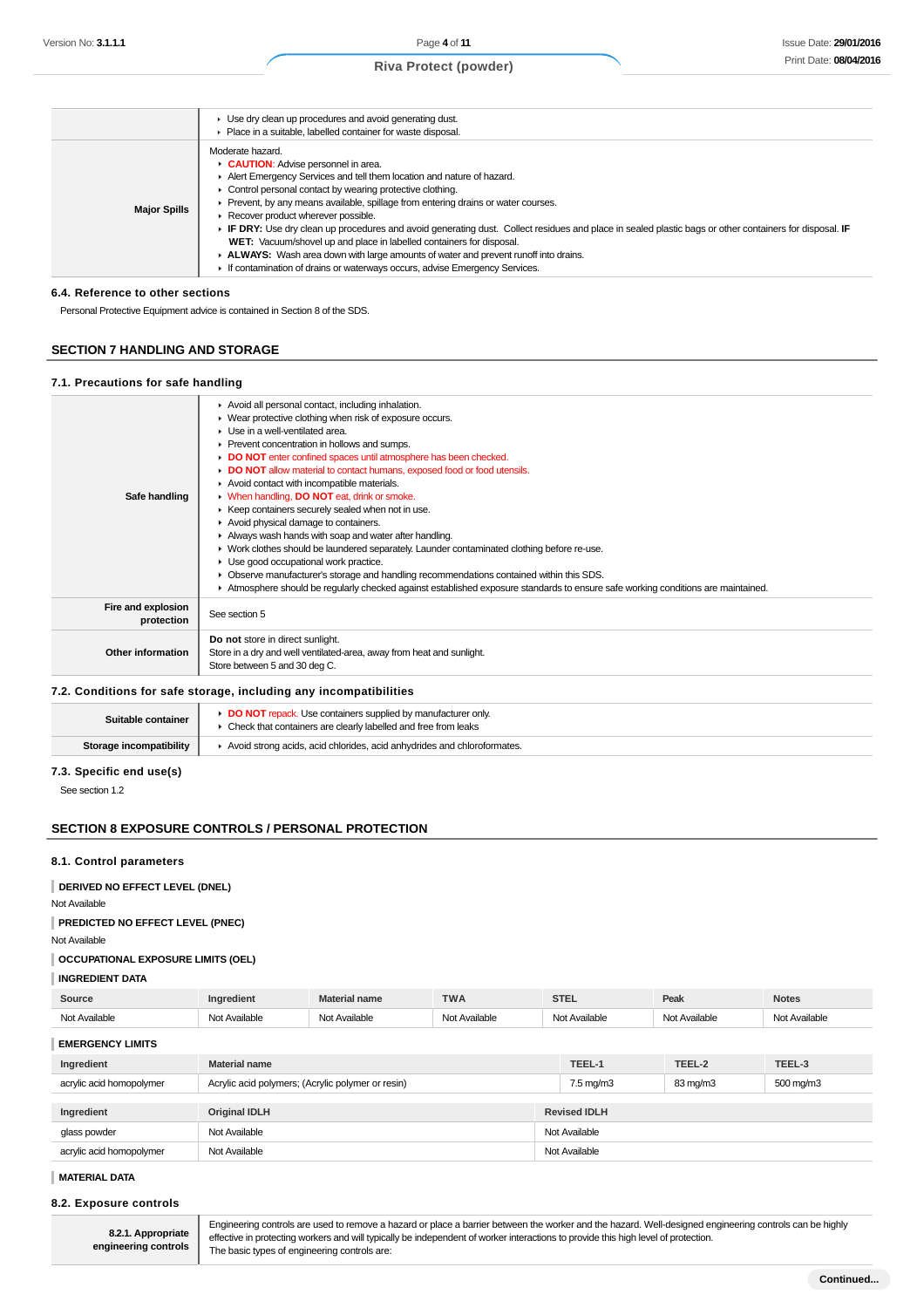#### Use dry clean up procedures and avoid generating dust. Place in a suitable, labelled container for waste disposal. **Major Spills** Moderate hazard. **CAUTION**: Advise personnel in area. Alert Emergency Services and tell them location and nature of hazard. Control personal contact by wearing protective clothing. Prevent, by any means available, spillage from entering drains or water courses. **Recover product wherever possible. IF DRY:** Use dry clean up procedures and avoid generating dust. Collect residues and place in sealed plastic bags or other containers for disposal. **IF WET:** Vacuum/shovel up and place in labelled containers for disposal. **ALWAYS:** Wash area down with large amounts of water and prevent runoff into drains. If contamination of drains or waterways occurs, advise Emergency Services.

#### **6.4. Reference to other sections**

Personal Protective Equipment advice is contained in Section 8 of the SDS.

## **SECTION 7 HANDLING AND STORAGE**

#### **7.1. Precautions for safe handling**

| Safe handling                    | Avoid all personal contact, including inhalation.<br>▶ Wear protective clothing when risk of exposure occurs.<br>• Use in a well-ventilated area.<br>▶ Prevent concentration in hollows and sumps.<br>DO NOT enter confined spaces until atmosphere has been checked.<br>• DO NOT allow material to contact humans, exposed food or food utensils.<br>Avoid contact with incompatible materials.<br>• When handling, DO NOT eat, drink or smoke.<br>▶ Keep containers securely sealed when not in use.<br>Avoid physical damage to containers.<br>Always wash hands with soap and water after handling.<br>• Work clothes should be laundered separately. Launder contaminated clothing before re-use.<br>• Use good occupational work practice.<br>Observe manufacturer's storage and handling recommendations contained within this SDS.<br>Atmosphere should be regularly checked against established exposure standards to ensure safe working conditions are maintained. |
|----------------------------------|-------------------------------------------------------------------------------------------------------------------------------------------------------------------------------------------------------------------------------------------------------------------------------------------------------------------------------------------------------------------------------------------------------------------------------------------------------------------------------------------------------------------------------------------------------------------------------------------------------------------------------------------------------------------------------------------------------------------------------------------------------------------------------------------------------------------------------------------------------------------------------------------------------------------------------------------------------------------------------|
| Fire and explosion<br>protection | See section 5                                                                                                                                                                                                                                                                                                                                                                                                                                                                                                                                                                                                                                                                                                                                                                                                                                                                                                                                                                 |
| <b>Other information</b>         | Do not store in direct sunlight.<br>Store in a dry and well ventilated-area, away from heat and sunlight.<br>Store between 5 and 30 deg C.                                                                                                                                                                                                                                                                                                                                                                                                                                                                                                                                                                                                                                                                                                                                                                                                                                    |

#### **7.2. Conditions for safe storage, including any incompatibilities**

| Suitable container      | <b>DO NOT</b> repack. Use containers supplied by manufacturer only<br>• Check that containers are clearly labelled and free from leaks |
|-------------------------|----------------------------------------------------------------------------------------------------------------------------------------|
| Storage incompatibility | Avoid strong acids, acid chlorides, acid anhydrides and chloroformates.                                                                |

## **7.3. Specific end use(s)**

See section 1.2

### **SECTION 8 EXPOSURE CONTROLS / PERSONAL PROTECTION**

#### **8.1. Control parameters**

**DERIVED NO EFFECT LEVEL (DNEL)**

Not Available

#### **PREDICTED NO EFFECT LEVEL (PNEC)**

Not Available

#### **OCCUPATIONAL EXPOSURE LIMITS (OEL)**

#### **INGREDIENT DATA**

| Source                   | Ingredient                                        | <b>Material name</b> | <b>TWA</b>           | <b>STEL</b>         | Peak          | <b>Notes</b>  |
|--------------------------|---------------------------------------------------|----------------------|----------------------|---------------------|---------------|---------------|
| Not Available            | Not Available                                     | Not Available        | Not Available        | Not Available       | Not Available | Not Available |
| <b>EMERGENCY LIMITS</b>  |                                                   |                      |                      |                     |               |               |
| Ingredient               | <b>Material name</b>                              |                      |                      | TEEL-1              | TEEL-2        | TEEL-3        |
| acrylic acid homopolymer | Acrylic acid polymers; (Acrylic polymer or resin) |                      | $7.5 \text{ mg/m}$ 3 | 83 mg/m3            | 500 mg/m3     |               |
|                          |                                                   |                      |                      |                     |               |               |
| Ingredient               | <b>Original IDLH</b>                              |                      |                      | <b>Revised IDLH</b> |               |               |
| glass powder             | Not Available                                     |                      | Not Available        |                     |               |               |
| acrylic acid homopolymer | Not Available                                     |                      | Not Available        |                     |               |               |

#### **MATERIAL DATA**

#### **8.2. Exposure controls**

**8.2.1. Appropriate engineering controls** Engineering controls are used to remove a hazard or place a barrier between the worker and the hazard. Well-designed engineering controls can be highly effective in protecting workers and will typically be independent of worker interactions to provide this high level of protection. The basic types of engineering controls are: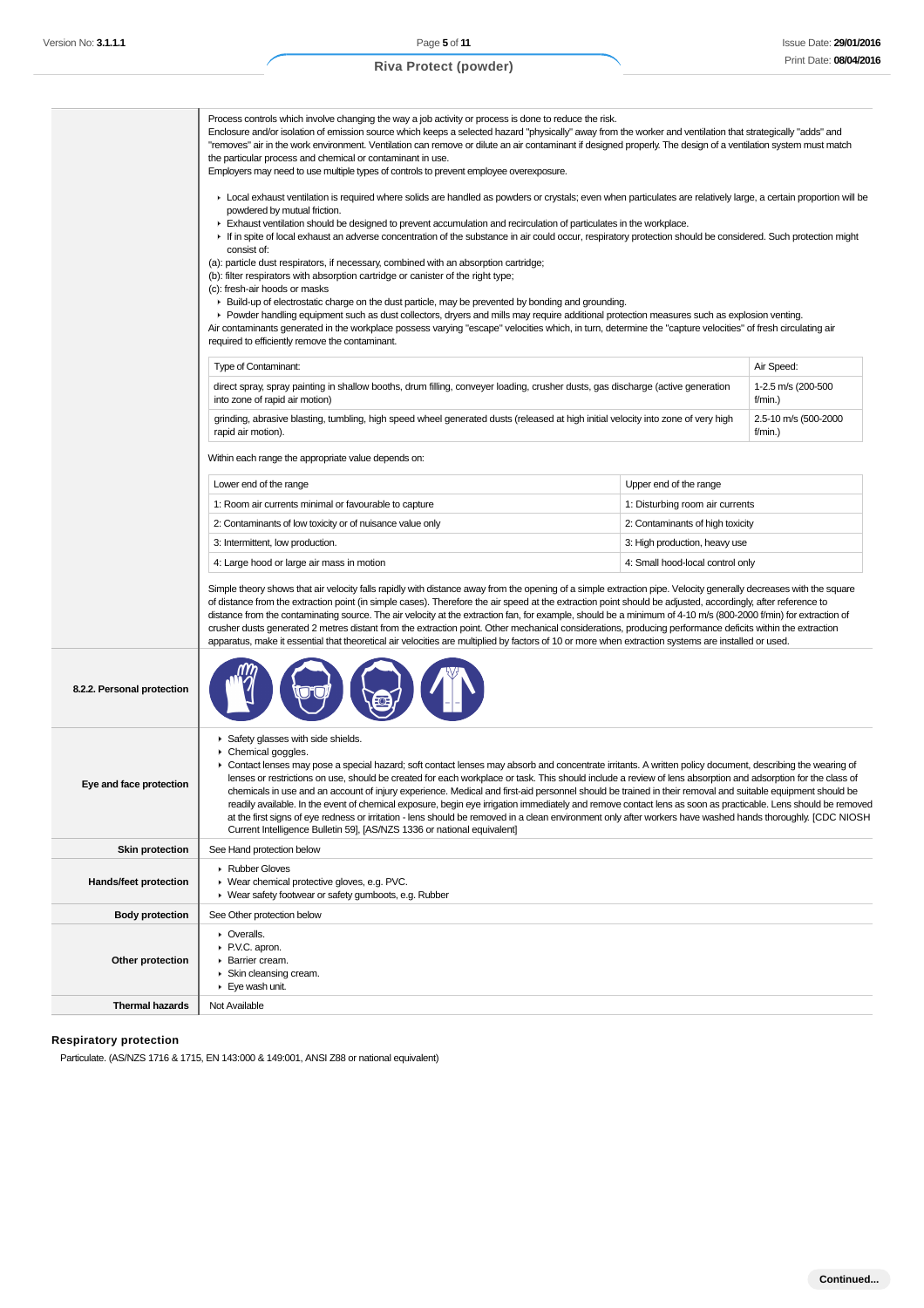|                              | Process controls which involve changing the way a job activity or process is done to reduce the risk.<br>Enclosure and/or isolation of emission source which keeps a selected hazard "physically" away from the worker and ventilation that strategically "adds" and<br>"removes" air in the work environment. Ventilation can remove or dilute an air contaminant if designed properly. The design of a ventilation system must match<br>the particular process and chemical or contaminant in use.<br>Employers may need to use multiple types of controls to prevent employee overexposure.                                                                                                                                                                                                                                                                                                                                                                                                                                                                                                                                                                                                  |                                  |                                 |  |
|------------------------------|-------------------------------------------------------------------------------------------------------------------------------------------------------------------------------------------------------------------------------------------------------------------------------------------------------------------------------------------------------------------------------------------------------------------------------------------------------------------------------------------------------------------------------------------------------------------------------------------------------------------------------------------------------------------------------------------------------------------------------------------------------------------------------------------------------------------------------------------------------------------------------------------------------------------------------------------------------------------------------------------------------------------------------------------------------------------------------------------------------------------------------------------------------------------------------------------------|----------------------------------|---------------------------------|--|
|                              | ► Local exhaust ventilation is required where solids are handled as powders or crystals; even when particulates are relatively large, a certain proportion will be<br>powdered by mutual friction.<br>Exhaust ventilation should be designed to prevent accumulation and recirculation of particulates in the workplace.<br>► If in spite of local exhaust an adverse concentration of the substance in air could occur, respiratory protection should be considered. Such protection might<br>consist of:<br>(a): particle dust respirators, if necessary, combined with an absorption cartridge;<br>(b): filter respirators with absorption cartridge or canister of the right type;<br>(c): fresh-air hoods or masks<br>► Build-up of electrostatic charge on the dust particle, may be prevented by bonding and grounding.<br>► Powder handling equipment such as dust collectors, dryers and mills may require additional protection measures such as explosion venting.<br>Air contaminants generated in the workplace possess varying "escape" velocities which, in turn, determine the "capture velocities" of fresh circulating air<br>required to efficiently remove the contaminant. |                                  |                                 |  |
|                              | Type of Contaminant:                                                                                                                                                                                                                                                                                                                                                                                                                                                                                                                                                                                                                                                                                                                                                                                                                                                                                                                                                                                                                                                                                                                                                                            |                                  | Air Speed:                      |  |
|                              | direct spray, spray painting in shallow booths, drum filling, conveyer loading, crusher dusts, gas discharge (active generation<br>into zone of rapid air motion)                                                                                                                                                                                                                                                                                                                                                                                                                                                                                                                                                                                                                                                                                                                                                                                                                                                                                                                                                                                                                               |                                  | 1-2.5 m/s (200-500<br>f/min.)   |  |
|                              | grinding, abrasive blasting, tumbling, high speed wheel generated dusts (released at high initial velocity into zone of very high<br>rapid air motion).                                                                                                                                                                                                                                                                                                                                                                                                                                                                                                                                                                                                                                                                                                                                                                                                                                                                                                                                                                                                                                         |                                  | 2.5-10 m/s (500-2000<br>f/min.) |  |
|                              | Within each range the appropriate value depends on:                                                                                                                                                                                                                                                                                                                                                                                                                                                                                                                                                                                                                                                                                                                                                                                                                                                                                                                                                                                                                                                                                                                                             |                                  |                                 |  |
|                              | Lower end of the range<br>Upper end of the range                                                                                                                                                                                                                                                                                                                                                                                                                                                                                                                                                                                                                                                                                                                                                                                                                                                                                                                                                                                                                                                                                                                                                |                                  |                                 |  |
|                              | 1: Room air currents minimal or favourable to capture                                                                                                                                                                                                                                                                                                                                                                                                                                                                                                                                                                                                                                                                                                                                                                                                                                                                                                                                                                                                                                                                                                                                           | 1: Disturbing room air currents  |                                 |  |
|                              | 2: Contaminants of low toxicity or of nuisance value only                                                                                                                                                                                                                                                                                                                                                                                                                                                                                                                                                                                                                                                                                                                                                                                                                                                                                                                                                                                                                                                                                                                                       | 2: Contaminants of high toxicity |                                 |  |
|                              | 3: Intermittent, low production.                                                                                                                                                                                                                                                                                                                                                                                                                                                                                                                                                                                                                                                                                                                                                                                                                                                                                                                                                                                                                                                                                                                                                                | 3: High production, heavy use    |                                 |  |
|                              | 4: Large hood or large air mass in motion                                                                                                                                                                                                                                                                                                                                                                                                                                                                                                                                                                                                                                                                                                                                                                                                                                                                                                                                                                                                                                                                                                                                                       | 4: Small hood-local control only |                                 |  |
|                              | Simple theory shows that air velocity falls rapidly with distance away from the opening of a simple extraction pipe. Velocity generally decreases with the square<br>of distance from the extraction point (in simple cases). Therefore the air speed at the extraction point should be adjusted, accordingly, after reference to<br>distance from the contaminating source. The air velocity at the extraction fan, for example, should be a minimum of 4-10 m/s (800-2000 f/min) for extraction of<br>crusher dusts generated 2 metres distant from the extraction point. Other mechanical considerations, producing performance deficits within the extraction<br>apparatus, make it essential that theoretical air velocities are multiplied by factors of 10 or more when extraction systems are installed or used.                                                                                                                                                                                                                                                                                                                                                                        |                                  |                                 |  |
| 8.2.2. Personal protection   |                                                                                                                                                                                                                                                                                                                                                                                                                                                                                                                                                                                                                                                                                                                                                                                                                                                                                                                                                                                                                                                                                                                                                                                                 |                                  |                                 |  |
| Eye and face protection      | Safety glasses with side shields.<br>▶ Chemical goggles.<br>► Contact lenses may pose a special hazard; soft contact lenses may absorb and concentrate irritants. A written policy document, describing the wearing of<br>lenses or restrictions on use, should be created for each workplace or task. This should include a review of lens absorption and adsorption for the class of<br>chemicals in use and an account of injury experience. Medical and first-aid personnel should be trained in their removal and suitable equipment should be<br>readily available. In the event of chemical exposure, begin eye irrigation immediately and remove contact lens as soon as practicable. Lens should be removed<br>at the first signs of eye redness or irritation - lens should be removed in a clean environment only after workers have washed hands thoroughly. [CDC NIOSH<br>Current Intelligence Bulletin 59], [AS/NZS 1336 or national equivalent]                                                                                                                                                                                                                                  |                                  |                                 |  |
| <b>Skin protection</b>       | See Hand protection below                                                                                                                                                                                                                                                                                                                                                                                                                                                                                                                                                                                                                                                                                                                                                                                                                                                                                                                                                                                                                                                                                                                                                                       |                                  |                                 |  |
| <b>Hands/feet protection</b> | ▶ Rubber Gloves<br>▶ Wear chemical protective gloves, e.g. PVC.<br>▶ Wear safety footwear or safety gumboots, e.g. Rubber                                                                                                                                                                                                                                                                                                                                                                                                                                                                                                                                                                                                                                                                                                                                                                                                                                                                                                                                                                                                                                                                       |                                  |                                 |  |
| <b>Body protection</b>       | See Other protection below                                                                                                                                                                                                                                                                                                                                                                                                                                                                                                                                                                                                                                                                                                                                                                                                                                                                                                                                                                                                                                                                                                                                                                      |                                  |                                 |  |
| Other protection             | • Overalls.<br>▶ P.V.C. apron.<br>Barrier cream.<br>Skin cleansing cream.<br>Eye wash unit.                                                                                                                                                                                                                                                                                                                                                                                                                                                                                                                                                                                                                                                                                                                                                                                                                                                                                                                                                                                                                                                                                                     |                                  |                                 |  |
| <b>Thermal hazards</b>       | Not Available                                                                                                                                                                                                                                                                                                                                                                                                                                                                                                                                                                                                                                                                                                                                                                                                                                                                                                                                                                                                                                                                                                                                                                                   |                                  |                                 |  |
|                              |                                                                                                                                                                                                                                                                                                                                                                                                                                                                                                                                                                                                                                                                                                                                                                                                                                                                                                                                                                                                                                                                                                                                                                                                 |                                  |                                 |  |

# **Respiratory protection**

Particulate. (AS/NZS 1716 & 1715, EN 143:000 & 149:001, ANSI Z88 or national equivalent)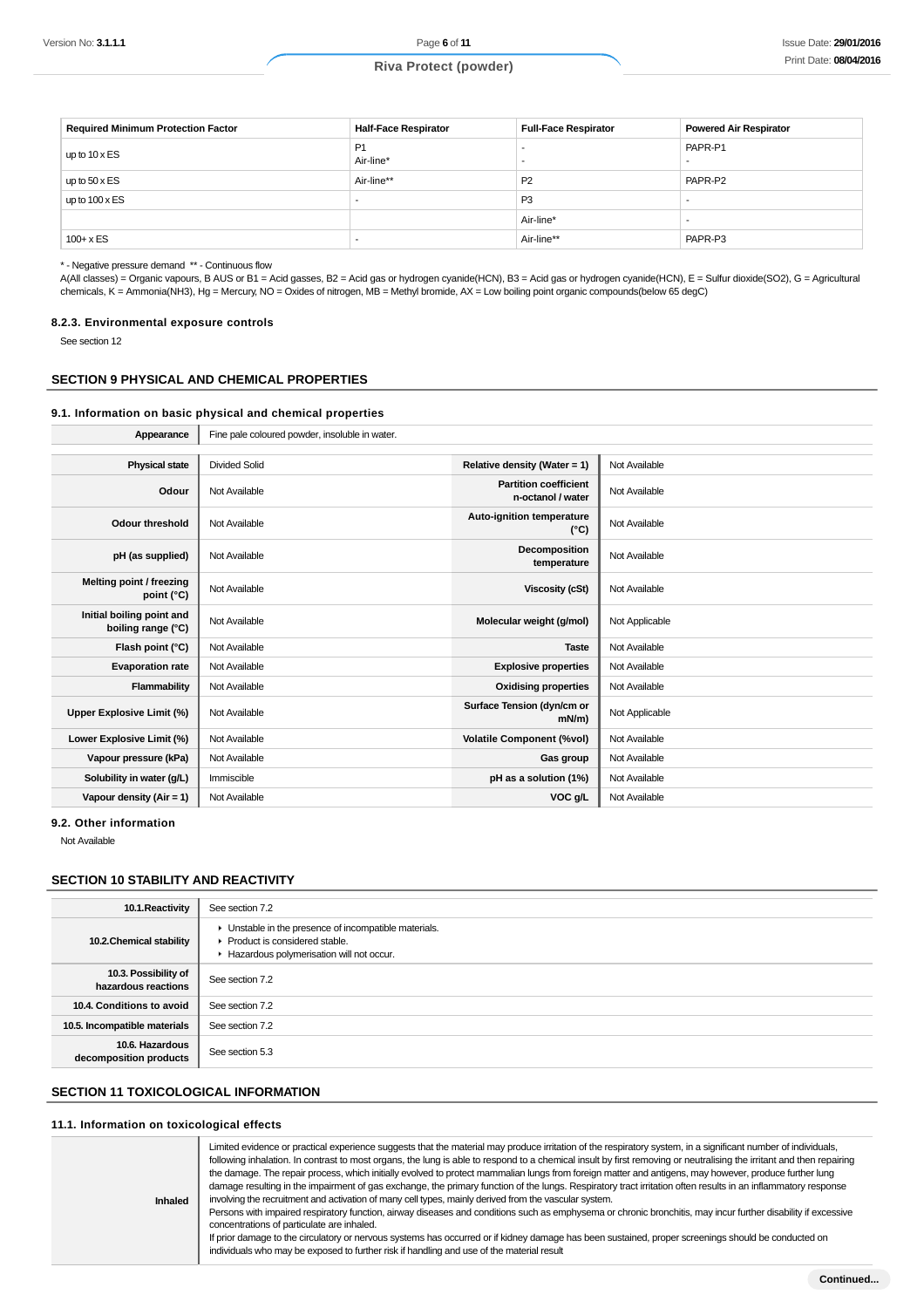| <b>Required Minimum Protection Factor</b> | <b>Half-Face Respirator</b> | <b>Full-Face Respirator</b> | <b>Powered Air Respirator</b> |
|-------------------------------------------|-----------------------------|-----------------------------|-------------------------------|
| up to $10 \times ES$                      | P <sub>1</sub><br>Air-line* |                             | PAPR-P1                       |
| up to $50 \times ES$                      | Air-line**                  | P <sub>2</sub>              | PAPR-P2                       |
| up to $100 \times ES$                     |                             | P <sub>3</sub>              |                               |
|                                           |                             | Air-line*                   |                               |
| $100 + x ES$                              |                             | Air-line**                  | PAPR-P3                       |

\* - Negative pressure demand \*\* - Continuous flow

A(All classes) = Organic vapours, B AUS or B1 = Acid gasses, B2 = Acid gas or hydrogen cyanide(HCN), B3 = Acid gas or hydrogen cyanide(HCN), E = Sulfur dioxide(SO2), G = Agricultural chemicals, K = Ammonia(NH3), Hg = Mercury, NO = Oxides of nitrogen, MB = Methyl bromide, AX = Low boiling point organic compounds(below 65 degC)

#### **8.2.3. Environmental exposure controls**

See section 12

#### **SECTION 9 PHYSICAL AND CHEMICAL PROPERTIES**

#### **9.1. Information on basic physical and chemical properties**

| Appearance                                      | Fine pale coloured powder, insoluble in water. |                                                   |                |
|-------------------------------------------------|------------------------------------------------|---------------------------------------------------|----------------|
|                                                 |                                                |                                                   |                |
| <b>Physical state</b>                           | <b>Divided Solid</b>                           | Relative density (Water = 1)                      | Not Available  |
| Odour                                           | Not Available                                  | <b>Partition coefficient</b><br>n-octanol / water | Not Available  |
| Odour threshold                                 | Not Available                                  | Auto-ignition temperature<br>$(^{\circ}C)$        | Not Available  |
| pH (as supplied)                                | Not Available                                  | Decomposition<br>temperature                      | Not Available  |
| Melting point / freezing<br>point (°C)          | Not Available                                  | <b>Viscosity (cSt)</b>                            | Not Available  |
| Initial boiling point and<br>boiling range (°C) | Not Available                                  | Molecular weight (g/mol)                          | Not Applicable |
| Flash point (°C)                                | Not Available                                  | <b>Taste</b>                                      | Not Available  |
| <b>Evaporation rate</b>                         | Not Available                                  | <b>Explosive properties</b>                       | Not Available  |
| Flammability                                    | Not Available                                  | <b>Oxidising properties</b>                       | Not Available  |
| <b>Upper Explosive Limit (%)</b>                | Not Available                                  | Surface Tension (dyn/cm or<br>$mN/m$ )            | Not Applicable |
| Lower Explosive Limit (%)                       | Not Available                                  | <b>Volatile Component (%vol)</b>                  | Not Available  |
| Vapour pressure (kPa)                           | Not Available                                  | Gas group                                         | Not Available  |
| Solubility in water (g/L)                       | Immiscible                                     | pH as a solution (1%)                             | Not Available  |
| Vapour density (Air = 1)                        | Not Available                                  | VOC g/L                                           | Not Available  |

**9.2. Other information**

Not Available

## **SECTION 10 STABILITY AND REACTIVITY**

| 10.1. Reactivity                            | See section 7.2                                                                                                                      |
|---------------------------------------------|--------------------------------------------------------------------------------------------------------------------------------------|
| 10.2. Chemical stability                    | • Unstable in the presence of incompatible materials.<br>▶ Product is considered stable.<br>Hazardous polymerisation will not occur. |
| 10.3. Possibility of<br>hazardous reactions | See section 7.2                                                                                                                      |
| 10.4. Conditions to avoid                   | See section 7.2                                                                                                                      |
| 10.5. Incompatible materials                | See section 7.2                                                                                                                      |
| 10.6. Hazardous<br>decomposition products   | See section 5.3                                                                                                                      |

# **SECTION 11 TOXICOLOGICAL INFORMATION**

#### **11.1. Information on toxicological effects**

| individuals who may be exposed to further risk if handling and use of the material result | <b>Inhaled</b> | Limited evidence or practical experience suggests that the material may produce irritation of the respiratory system, in a significant number of individuals,<br>following inhalation. In contrast to most organs, the lung is able to respond to a chemical insult by first removing or neutralising the irritant and then repairing<br>the damage. The repair process, which initially evolved to protect mammalian lungs from foreign matter and antigens, may however, produce further lung<br>damage resulting in the impairment of gas exchange, the primary function of the lungs. Respiratory tract irritation often results in an inflammatory response<br>involving the recruitment and activation of many cell types, mainly derived from the vascular system.<br>Persons with impaired respiratory function, airway diseases and conditions such as emphysema or chronic bronchitis, may incur further disability if excessive<br>concentrations of particulate are inhaled.<br>If prior damage to the circulatory or nervous systems has occurred or if kidney damage has been sustained, proper screenings should be conducted on |
|-------------------------------------------------------------------------------------------|----------------|-------------------------------------------------------------------------------------------------------------------------------------------------------------------------------------------------------------------------------------------------------------------------------------------------------------------------------------------------------------------------------------------------------------------------------------------------------------------------------------------------------------------------------------------------------------------------------------------------------------------------------------------------------------------------------------------------------------------------------------------------------------------------------------------------------------------------------------------------------------------------------------------------------------------------------------------------------------------------------------------------------------------------------------------------------------------------------------------------------------------------------------------------|
|-------------------------------------------------------------------------------------------|----------------|-------------------------------------------------------------------------------------------------------------------------------------------------------------------------------------------------------------------------------------------------------------------------------------------------------------------------------------------------------------------------------------------------------------------------------------------------------------------------------------------------------------------------------------------------------------------------------------------------------------------------------------------------------------------------------------------------------------------------------------------------------------------------------------------------------------------------------------------------------------------------------------------------------------------------------------------------------------------------------------------------------------------------------------------------------------------------------------------------------------------------------------------------|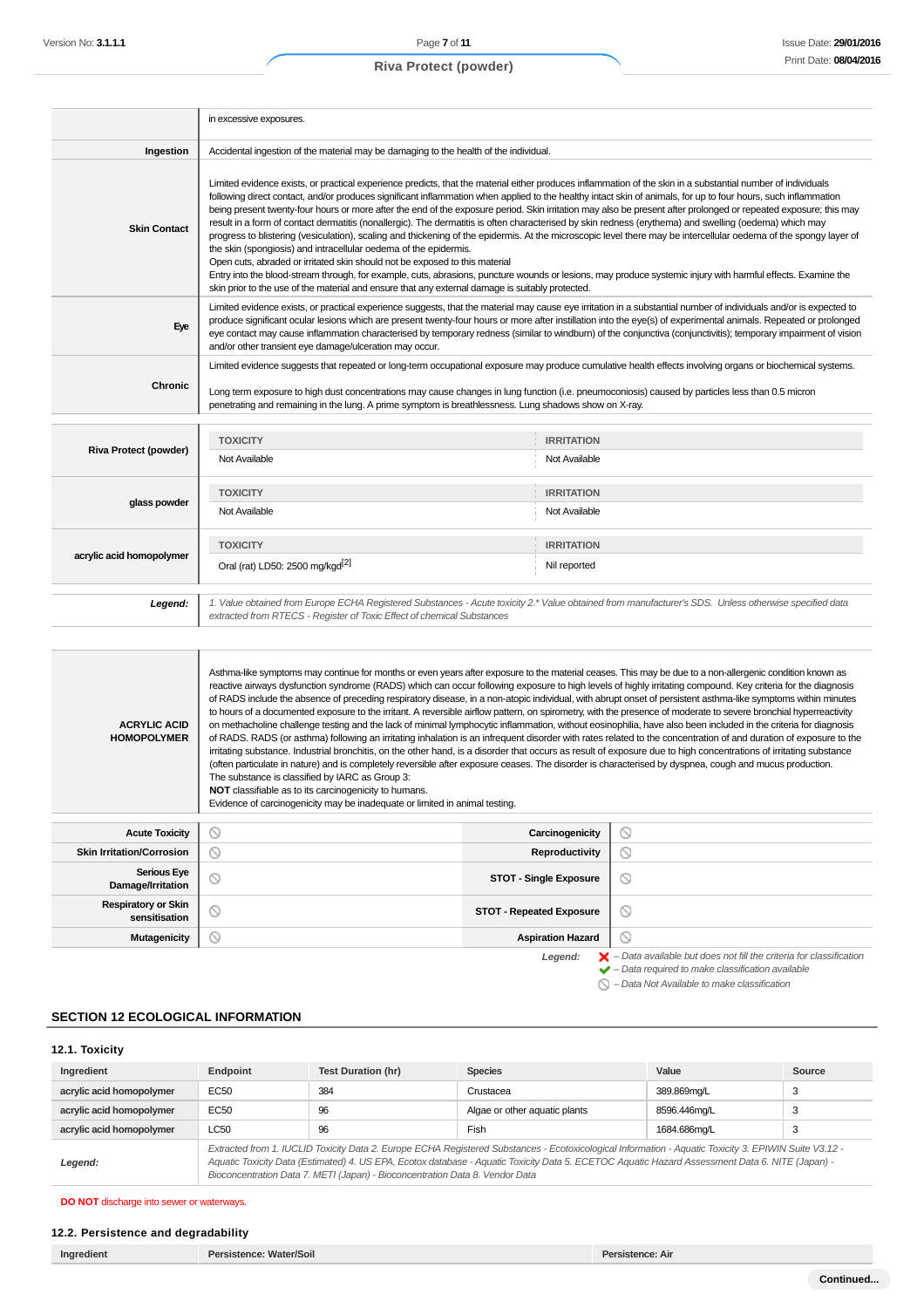|                                             | in excessive exposures.                                                                                                                                                                                                                                                                                                                                                                                                                                                                                                                                                                                                                                                                                                                                                                                                                                                                                                                                                                                                                                                                                                                                                                                                                                                                                                                                                                                                                                                                                                                   |                                 |         |  |
|---------------------------------------------|-------------------------------------------------------------------------------------------------------------------------------------------------------------------------------------------------------------------------------------------------------------------------------------------------------------------------------------------------------------------------------------------------------------------------------------------------------------------------------------------------------------------------------------------------------------------------------------------------------------------------------------------------------------------------------------------------------------------------------------------------------------------------------------------------------------------------------------------------------------------------------------------------------------------------------------------------------------------------------------------------------------------------------------------------------------------------------------------------------------------------------------------------------------------------------------------------------------------------------------------------------------------------------------------------------------------------------------------------------------------------------------------------------------------------------------------------------------------------------------------------------------------------------------------|---------------------------------|---------|--|
| Ingestion                                   | Accidental ingestion of the material may be damaging to the health of the individual.                                                                                                                                                                                                                                                                                                                                                                                                                                                                                                                                                                                                                                                                                                                                                                                                                                                                                                                                                                                                                                                                                                                                                                                                                                                                                                                                                                                                                                                     |                                 |         |  |
| <b>Skin Contact</b>                         | Limited evidence exists, or practical experience predicts, that the material either produces inflammation of the skin in a substantial number of individuals<br>following direct contact, and/or produces significant inflammation when applied to the healthy intact skin of animals, for up to four hours, such inflammation<br>being present twenty-four hours or more after the end of the exposure period. Skin irritation may also be present after prolonged or repeated exposure; this may<br>result in a form of contact dermatitis (nonallergic). The dermatitis is often characterised by skin redness (erythema) and swelling (oedema) which may<br>progress to blistering (vesiculation), scaling and thickening of the epidermis. At the microscopic level there may be intercellular oedema of the spongy layer of<br>the skin (spongiosis) and intracellular oedema of the epidermis.<br>Open cuts, abraded or irritated skin should not be exposed to this material<br>Entry into the blood-stream through, for example, cuts, abrasions, puncture wounds or lesions, may produce systemic injury with harmful effects. Examine the<br>skin prior to the use of the material and ensure that any external damage is suitably protected.                                                                                                                                                                                                                                                                                  |                                 |         |  |
| Eye                                         | Limited evidence exists, or practical experience suggests, that the material may cause eye irritation in a substantial number of individuals and/or is expected to<br>produce significant ocular lesions which are present twenty-four hours or more after instillation into the eye(s) of experimental animals. Repeated or prolonged<br>eye contact may cause inflammation characterised by temporary redness (similar to windburn) of the conjunctiva (conjunctivitis); temporary impairment of vision<br>and/or other transient eye damage/ulceration may occur.                                                                                                                                                                                                                                                                                                                                                                                                                                                                                                                                                                                                                                                                                                                                                                                                                                                                                                                                                                      |                                 |         |  |
| Chronic                                     | Limited evidence suggests that repeated or long-term occupational exposure may produce cumulative health effects involving organs or biochemical systems.<br>Long term exposure to high dust concentrations may cause changes in lung function (i.e. pneumoconiosis) caused by particles less than 0.5 micron<br>penetrating and remaining in the lung. A prime symptom is breathlessness. Lung shadows show on X-ray.                                                                                                                                                                                                                                                                                                                                                                                                                                                                                                                                                                                                                                                                                                                                                                                                                                                                                                                                                                                                                                                                                                                    |                                 |         |  |
|                                             | <b>TOXICITY</b>                                                                                                                                                                                                                                                                                                                                                                                                                                                                                                                                                                                                                                                                                                                                                                                                                                                                                                                                                                                                                                                                                                                                                                                                                                                                                                                                                                                                                                                                                                                           | <b>IRRITATION</b>               |         |  |
| Riva Protect (powder)                       | Not Available                                                                                                                                                                                                                                                                                                                                                                                                                                                                                                                                                                                                                                                                                                                                                                                                                                                                                                                                                                                                                                                                                                                                                                                                                                                                                                                                                                                                                                                                                                                             | Not Available                   |         |  |
|                                             | <b>TOXICITY</b><br><b>IRRITATION</b>                                                                                                                                                                                                                                                                                                                                                                                                                                                                                                                                                                                                                                                                                                                                                                                                                                                                                                                                                                                                                                                                                                                                                                                                                                                                                                                                                                                                                                                                                                      |                                 |         |  |
| glass powder                                | Not Available<br>Not Available                                                                                                                                                                                                                                                                                                                                                                                                                                                                                                                                                                                                                                                                                                                                                                                                                                                                                                                                                                                                                                                                                                                                                                                                                                                                                                                                                                                                                                                                                                            |                                 |         |  |
|                                             | <b>TOXICITY</b><br><b>IRRITATION</b>                                                                                                                                                                                                                                                                                                                                                                                                                                                                                                                                                                                                                                                                                                                                                                                                                                                                                                                                                                                                                                                                                                                                                                                                                                                                                                                                                                                                                                                                                                      |                                 |         |  |
| acrylic acid homopolymer                    | Oral (rat) LD50: 2500 mg/kgd <sup>[2]</sup><br>Nil reported                                                                                                                                                                                                                                                                                                                                                                                                                                                                                                                                                                                                                                                                                                                                                                                                                                                                                                                                                                                                                                                                                                                                                                                                                                                                                                                                                                                                                                                                               |                                 |         |  |
| Legend:                                     | 1. Value obtained from Europe ECHA Registered Substances - Acute toxicity 2.* Value obtained from manufacturer's SDS. Unless otherwise specified data<br>extracted from RTECS - Register of Toxic Effect of chemical Substances                                                                                                                                                                                                                                                                                                                                                                                                                                                                                                                                                                                                                                                                                                                                                                                                                                                                                                                                                                                                                                                                                                                                                                                                                                                                                                           |                                 |         |  |
| <b>ACRYLIC ACID</b><br><b>HOMOPOLYMER</b>   | Asthma-like symptoms may continue for months or even years after exposure to the material ceases. This may be due to a non-allergenic condition known as<br>reactive airways dysfunction syndrome (RADS) which can occur following exposure to high levels of highly irritating compound. Key criteria for the diagnosis<br>of RADS include the absence of preceding respiratory disease, in a non-atopic individual, with abrupt onset of persistent asthma-like symptoms within minutes<br>to hours of a documented exposure to the irritant. A reversible airflow pattern, on spirometry, with the presence of moderate to severe bronchial hyperreactivity<br>on methacholine challenge testing and the lack of minimal lymphocytic inflammation, without eosinophilia, have also been included in the criteria for diagnosis<br>of RADS. RADS (or asthma) following an irritating inhalation is an infrequent disorder with rates related to the concentration of and duration of exposure to the<br>irritating substance. Industrial bronchitis, on the other hand, is a disorder that occurs as result of exposure due to high concentrations of irritating substance<br>(often particulate in nature) and is completely reversible after exposure ceases. The disorder is characterised by dyspnea, cough and mucus production.<br>The substance is classified by IARC as Group 3:<br><b>NOT</b> classifiable as to its carcinogenicity to humans.<br>Evidence of carcinogenicity may be inadequate or limited in animal testing. |                                 |         |  |
| <b>Acute Toxicity</b>                       | $\circledcirc$                                                                                                                                                                                                                                                                                                                                                                                                                                                                                                                                                                                                                                                                                                                                                                                                                                                                                                                                                                                                                                                                                                                                                                                                                                                                                                                                                                                                                                                                                                                            | Carcinogenicity                 | $\odot$ |  |
| <b>Skin Irritation/Corrosion</b>            | $\odot$                                                                                                                                                                                                                                                                                                                                                                                                                                                                                                                                                                                                                                                                                                                                                                                                                                                                                                                                                                                                                                                                                                                                                                                                                                                                                                                                                                                                                                                                                                                                   | Reproductivity                  | $\odot$ |  |
| <b>Serious Eye</b><br>Damage/Irritation     | $\odot$                                                                                                                                                                                                                                                                                                                                                                                                                                                                                                                                                                                                                                                                                                                                                                                                                                                                                                                                                                                                                                                                                                                                                                                                                                                                                                                                                                                                                                                                                                                                   | <b>STOT - Single Exposure</b>   | $\odot$ |  |
| <b>Respiratory or Skin</b><br>sensitisation | $\circledcirc$                                                                                                                                                                                                                                                                                                                                                                                                                                                                                                                                                                                                                                                                                                                                                                                                                                                                                                                                                                                                                                                                                                                                                                                                                                                                                                                                                                                                                                                                                                                            | <b>STOT - Repeated Exposure</b> | $\odot$ |  |

**Mutagenicity Aspiration Hazard** 

 $\circlearrowright$ 

Legend:  $\blacktriangleright$  - Data available but does not fill the criteria for classification<br>  $\blacktriangleright$  - Data required to make classification available

 $\bigcirc$  – Data Not Available to make classification

## **SECTION 12 ECOLOGICAL INFORMATION**

#### **12.1. Toxicity**

| Ingredient               | <b>Endpoint</b>                                                                                                                                                                                                                                                                                                                                                                          | <b>Test Duration (hr)</b> | <b>Species</b>                | Value        | Source |
|--------------------------|------------------------------------------------------------------------------------------------------------------------------------------------------------------------------------------------------------------------------------------------------------------------------------------------------------------------------------------------------------------------------------------|---------------------------|-------------------------------|--------------|--------|
| acrylic acid homopolymer | EC50                                                                                                                                                                                                                                                                                                                                                                                     | 384                       | Crustacea                     | 389.869mg/L  |        |
| acrylic acid homopolymer | EC50                                                                                                                                                                                                                                                                                                                                                                                     | 96                        | Algae or other aquatic plants | 8596.446mg/L | 3      |
| acrylic acid homopolymer | Fish<br>LC50<br>96<br>1684.686ma/L<br>Э                                                                                                                                                                                                                                                                                                                                                  |                           |                               |              |        |
| Legend:                  | Extracted from 1. IUCLID Toxicity Data 2. Europe ECHA Registered Substances - Ecotoxicological Information - Aquatic Toxicity 3. EPIWIN Suite V3.12 -<br>Aquatic Toxicity Data (Estimated) 4. US EPA, Ecotox database - Aquatic Toxicity Data 5. ECETOC Aquatic Hazard Assessment Data 6. NITE (Japan) -<br>Bioconcentration Data 7. METI (Japan) - Bioconcentration Data 8. Vendor Data |                           |                               |              |        |

**DO NOT** discharge into sewer or waterways.

#### **12.2. Persistence and degradability**

|  | Ingredient | <b>Persistence: Water/Soil</b> |
|--|------------|--------------------------------|
|--|------------|--------------------------------|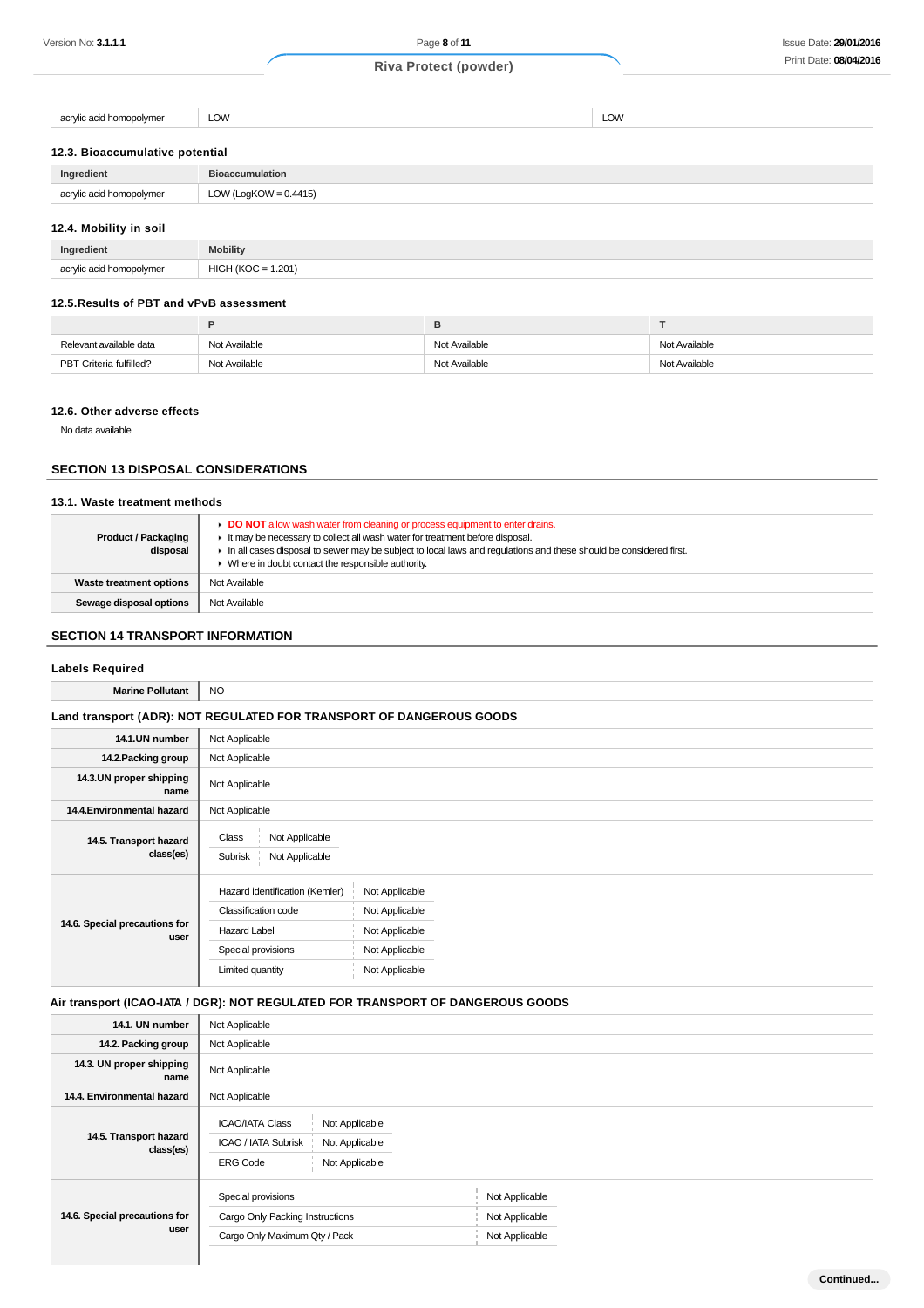acrylic acid homopolymer LOW LOW

#### **12.3. Bioaccumulative potential**

| Ingredient               | <b>Bioaccumulation</b>   |
|--------------------------|--------------------------|
| acrylic acid homopolymer | LOW (LogKOW = $0.4415$ ) |
| 12.4. Mobility in soil   |                          |

# **Ingredient Mobility** acrylic acid homopolymer  $HIGH (KOC = 1.201)$

## **12.5.Results of PBT and vPvB assessment**

| Relevant available data | Not Available | Not Available | Not Available |
|-------------------------|---------------|---------------|---------------|
| PBT Criteria fulfilled? | Not Available | Not Available | Not Available |

#### **12.6. Other adverse effects**

No data available

## **SECTION 13 DISPOSAL CONSIDERATIONS**

# **13.1. Waste treatment methods**

| <b>Product / Packaging</b><br>disposal | DO NOT allow wash water from cleaning or process equipment to enter drains.<br>If It may be necessary to collect all wash water for treatment before disposal.<br>In all cases disposal to sewer may be subject to local laws and requlations and these should be considered first.<br>• Where in doubt contact the responsible authority. |
|----------------------------------------|--------------------------------------------------------------------------------------------------------------------------------------------------------------------------------------------------------------------------------------------------------------------------------------------------------------------------------------------|
| Waste treatment options                | Not Available                                                                                                                                                                                                                                                                                                                              |
| Sewage disposal options                | Not Available                                                                                                                                                                                                                                                                                                                              |

## **SECTION 14 TRANSPORT INFORMATION**

## **Labels Required**

| <b>Marine Pollutant</b>               | <b>NO</b>                                                                                                              |                                                                                        |  |  |
|---------------------------------------|------------------------------------------------------------------------------------------------------------------------|----------------------------------------------------------------------------------------|--|--|
|                                       |                                                                                                                        | Land transport (ADR): NOT REGULATED FOR TRANSPORT OF DANGEROUS GOODS                   |  |  |
| 14.1.UN number                        | Not Applicable                                                                                                         |                                                                                        |  |  |
| 14.2. Packing group                   | Not Applicable                                                                                                         |                                                                                        |  |  |
| 14.3.UN proper shipping<br>name       | Not Applicable                                                                                                         |                                                                                        |  |  |
| 14.4. Environmental hazard            | Not Applicable                                                                                                         |                                                                                        |  |  |
| 14.5. Transport hazard<br>class(es)   | Class<br>Not Applicable<br>Not Applicable<br>Subrisk                                                                   |                                                                                        |  |  |
| 14.6. Special precautions for<br>user | Hazard identification (Kemler)<br>Classification code<br><b>Hazard Label</b><br>Special provisions<br>Limited quantity | Not Applicable<br>Not Applicable<br>Not Applicable<br>Not Applicable<br>Not Applicable |  |  |

#### **Air transport (ICAO-IATA / DGR): NOT REGULATED FOR TRANSPORT OF DANGEROUS GOODS**

| 14.1. UN number                       | Not Applicable                                                                                                                |                                                    |  |  |
|---------------------------------------|-------------------------------------------------------------------------------------------------------------------------------|----------------------------------------------------|--|--|
| 14.2. Packing group                   | Not Applicable                                                                                                                |                                                    |  |  |
| 14.3. UN proper shipping<br>name      | Not Applicable                                                                                                                |                                                    |  |  |
| 14.4. Environmental hazard            | Not Applicable                                                                                                                |                                                    |  |  |
| 14.5. Transport hazard<br>class(es)   | <b>ICAO/IATA Class</b><br>Not Applicable<br><b>ICAO / IATA Subrisk</b><br>Not Applicable<br><b>ERG Code</b><br>Not Applicable |                                                    |  |  |
| 14.6. Special precautions for<br>user | Special provisions<br>Cargo Only Packing Instructions<br>Cargo Only Maximum Qty / Pack                                        | Not Applicable<br>Not Applicable<br>Not Applicable |  |  |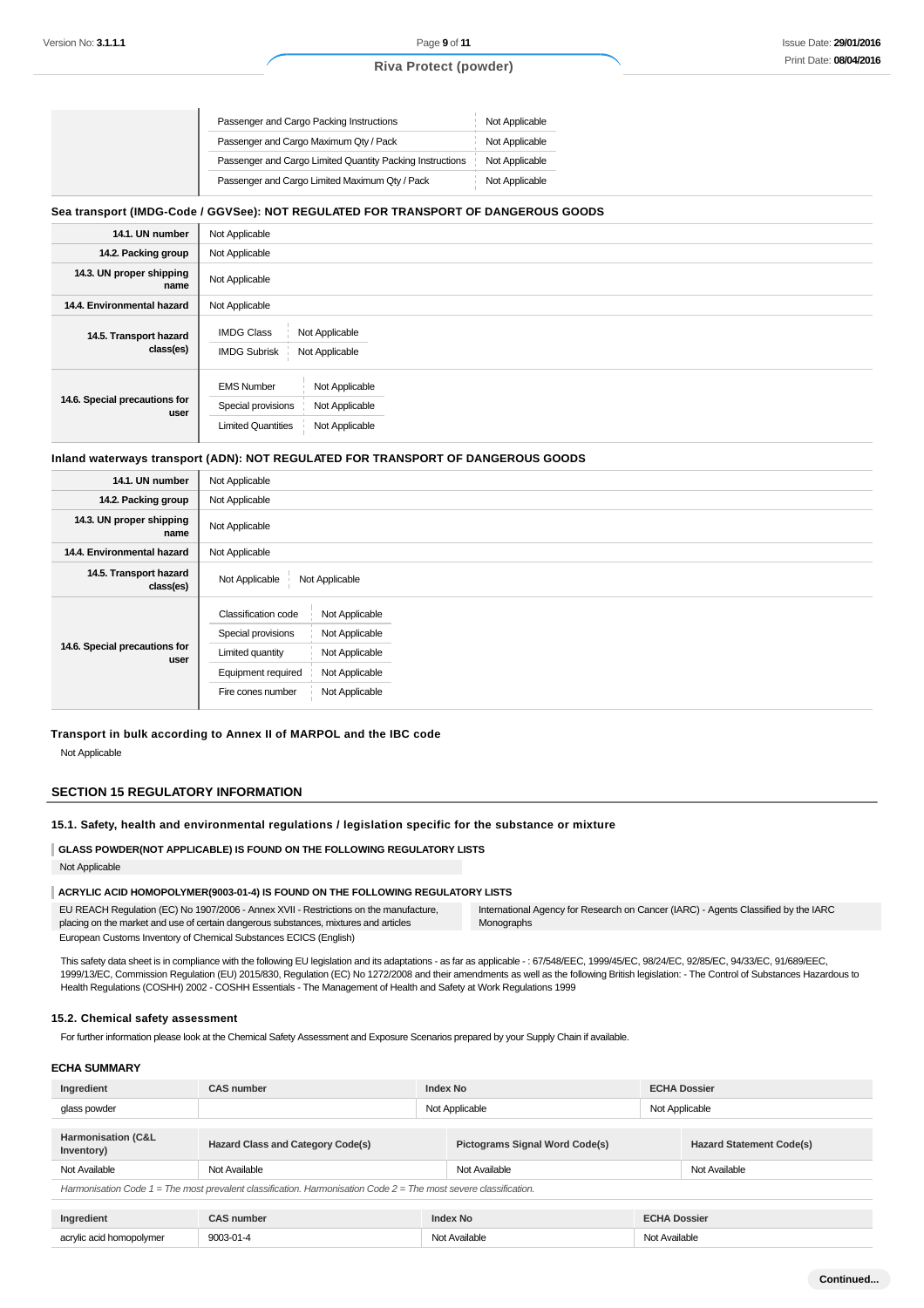#### Issue Date: **29/01/2016** Print Date: **08/04/2016**

# **Riva Protect (powder)**

| Passenger and Cargo Packing Instructions                  | Not Applicable |
|-----------------------------------------------------------|----------------|
| Passenger and Cargo Maximum Qty / Pack                    | Not Applicable |
| Passenger and Cargo Limited Quantity Packing Instructions | Not Applicable |
| Passenger and Cargo Limited Maximum Qty / Pack            | Not Applicable |

## **Sea transport (IMDG-Code / GGVSee): NOT REGULATED FOR TRANSPORT OF DANGEROUS GOODS**

| 14.1. UN number                       | Not Applicable                                                                                                             |
|---------------------------------------|----------------------------------------------------------------------------------------------------------------------------|
| 14.2. Packing group                   | Not Applicable                                                                                                             |
| 14.3. UN proper shipping<br>name      | Not Applicable                                                                                                             |
| 14.4. Environmental hazard            | Not Applicable                                                                                                             |
| 14.5. Transport hazard<br>class(es)   | <b>IMDG Class</b><br>Not Applicable<br><b>IMDG Subrisk</b><br>Not Applicable                                               |
| 14.6. Special precautions for<br>user | Not Applicable<br><b>EMS Number</b><br>Special provisions<br>Not Applicable<br><b>Limited Quantities</b><br>Not Applicable |

#### **Inland waterways transport (ADN): NOT REGULATED FOR TRANSPORT OF DANGEROUS GOODS**

| 14.1. UN number                       | Not Applicable                                                                                                                                                                                            |
|---------------------------------------|-----------------------------------------------------------------------------------------------------------------------------------------------------------------------------------------------------------|
| 14.2. Packing group                   | Not Applicable                                                                                                                                                                                            |
| 14.3. UN proper shipping<br>name      | Not Applicable                                                                                                                                                                                            |
| 14.4. Environmental hazard            | Not Applicable                                                                                                                                                                                            |
| 14.5. Transport hazard<br>class(es)   | Not Applicable<br>Not Applicable                                                                                                                                                                          |
| 14.6. Special precautions for<br>user | <b>Classification code</b><br>Not Applicable<br>Special provisions<br>Not Applicable<br>Not Applicable<br>Limited quantity<br>Not Applicable<br>Equipment required<br>Not Applicable<br>Fire cones number |

## **Transport in bulk according to Annex II of MARPOL and the IBC code** Not Applicable

#### **SECTION 15 REGULATORY INFORMATION**

#### **15.1. Safety, health and environmental regulations / legislation specific for the substance or mixture**

## **GLASS POWDER(NOT APPLICABLE) IS FOUND ON THE FOLLOWING REGULATORY LISTS** Not Applicable

# **ACRYLIC ACID HOMOPOLYMER(9003-01-4) IS FOUND ON THE FOLLOWING REGULATORY LISTS**

EU REACH Regulation (EC) No 1907/2006 - Annex XVII - Restrictions on the manufacture, placing on the market and use of certain dangerous substances, mixtures and articles European Customs Inventory of Chemical Substances ECICS (English) International Agency for Research on Cancer (IARC) - Agents Classified by the IARC Monographs

This safety data sheet is in compliance with the following EU legislation and its adaptations - as far as applicable -: 67/548/EEC, 1999/45/EC, 98/24/EC, 92/85/EC, 94/33/EC, 91/689/EEC, 1999/13/EC, Commission Regulation (EU) 2015/830, Regulation (EC) No 1272/2008 and their amendments as well as the following British legislation: - The Control of Substances Hazardous to Health Regulations (COSHH) 2002 - COSHH Essentials - The Management of Health and Safety at Work Regulations 1999

#### **15.2. Chemical safety assessment**

For further information please look at the Chemical Safety Assessment and Exposure Scenarios prepared by your Supply Chain if available.

## **ECHA SUMMARY**

| Ingredient                                                                                                           | <b>CAS number</b>                        | <b>Index No</b> |                                       | <b>ECHA Dossier</b> |                                 |
|----------------------------------------------------------------------------------------------------------------------|------------------------------------------|-----------------|---------------------------------------|---------------------|---------------------------------|
| glass powder                                                                                                         |                                          | Not Applicable  |                                       | Not Applicable      |                                 |
|                                                                                                                      |                                          |                 |                                       |                     |                                 |
| Harmonisation (C&L<br>Inventory)                                                                                     | <b>Hazard Class and Category Code(s)</b> |                 | <b>Pictograms Signal Word Code(s)</b> |                     | <b>Hazard Statement Code(s)</b> |
| Not Available                                                                                                        | Not Available                            |                 | Not Available                         |                     | Not Available                   |
| Harmonisation Code $1 =$ The most prevalent classification. Harmonisation Code $2 =$ The most severe classification. |                                          |                 |                                       |                     |                                 |

| Inai<br>rediem          | mbel         | Inde | $ \sim$<br>,,,,,     |
|-------------------------|--------------|------|----------------------|
| 20n<br>omopolvmer<br>au | ാറ<br>.<br>. | ΝO   | Alc:<br>ماحادين<br>. |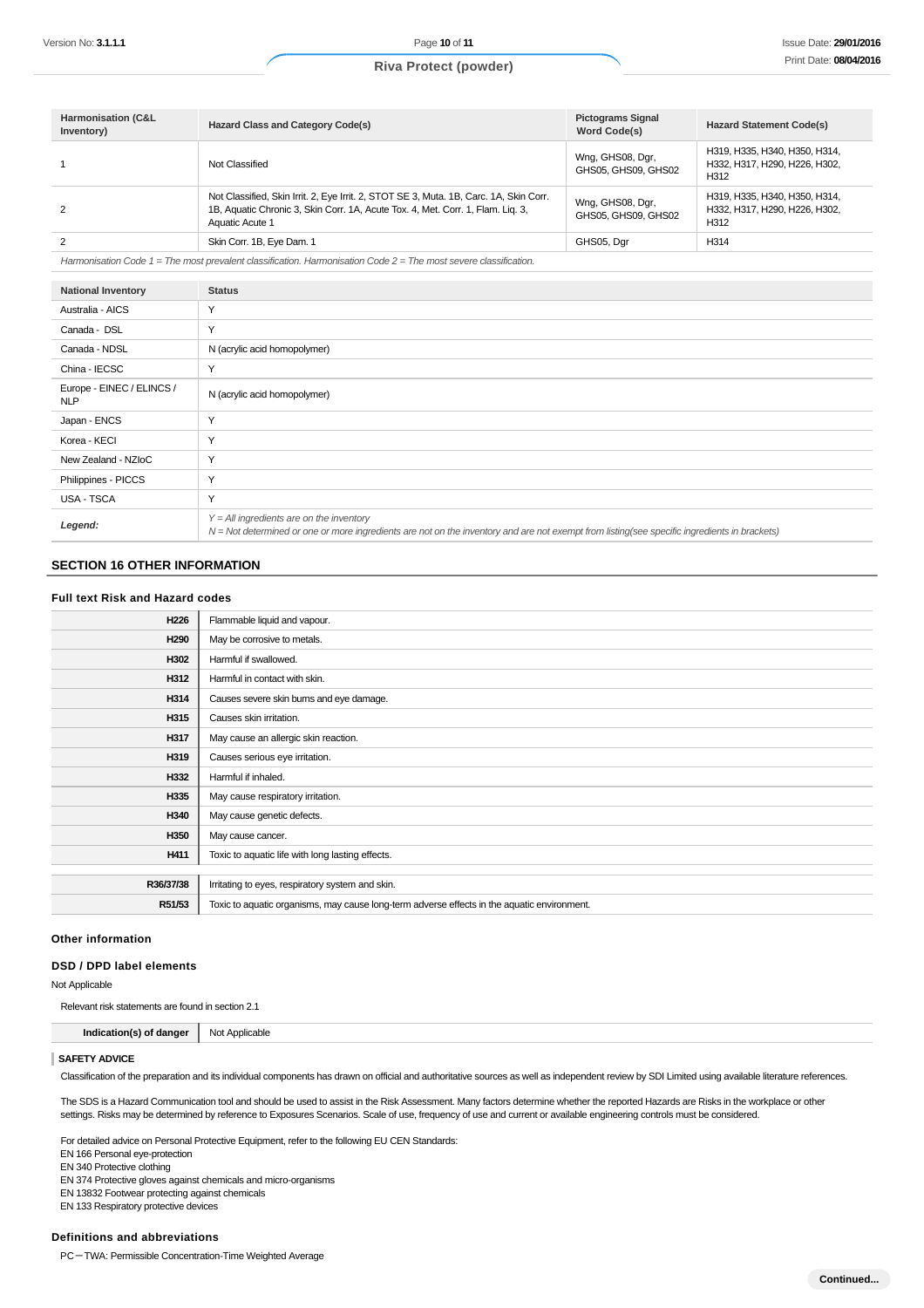| <b>Harmonisation (C&amp;L</b><br>Inventory) | <b>Hazard Class and Category Code(s)</b>                                                                                                                                                     | <b>Pictograms Signal</b><br>Word Code(s) | <b>Hazard Statement Code(s)</b>                                        |
|---------------------------------------------|----------------------------------------------------------------------------------------------------------------------------------------------------------------------------------------------|------------------------------------------|------------------------------------------------------------------------|
|                                             | Not Classified                                                                                                                                                                               | Wng, GHS08, Dgr,<br>GHS05, GHS09, GHS02  | H319, H335, H340, H350, H314,<br>H332, H317, H290, H226, H302,<br>H312 |
| 2                                           | Not Classified, Skin Irrit. 2, Eye Irrit. 2, STOT SE 3, Muta. 1B, Carc. 1A, Skin Corr.<br>1B, Aquatic Chronic 3, Skin Corr. 1A, Acute Tox. 4, Met. Corr. 1, Flam. Lig. 3,<br>Aquatic Acute 1 | Wng, GHS08, Dgr,<br>GHS05, GHS09, GHS02  | H319, H335, H340, H350, H314,<br>H332. H317. H290. H226. H302.<br>H312 |
|                                             | Skin Corr. 1B, Eye Dam. 1                                                                                                                                                                    | GHS05, Dgr                               | H314                                                                   |

Harmonisation Code 1 = The most prevalent classification. Harmonisation Code 2 = The most severe classification.

| <b>National Inventory</b>               | <b>Status</b>                                                                                                                                                                              |
|-----------------------------------------|--------------------------------------------------------------------------------------------------------------------------------------------------------------------------------------------|
| Australia - AICS                        | $\checkmark$                                                                                                                                                                               |
| Canada - DSL                            | $\checkmark$                                                                                                                                                                               |
| Canada - NDSL                           | N (acrylic acid homopolymer)                                                                                                                                                               |
| China - IECSC                           | $\checkmark$                                                                                                                                                                               |
| Europe - EINEC / ELINCS /<br><b>NLP</b> | N (acrylic acid homopolymer)                                                                                                                                                               |
| Japan - ENCS                            | $\checkmark$                                                                                                                                                                               |
| Korea - KECI                            | Y                                                                                                                                                                                          |
| New Zealand - NZIoC                     | Y                                                                                                                                                                                          |
| Philippines - PICCS                     | Y                                                                                                                                                                                          |
| USA - TSCA                              | Y                                                                                                                                                                                          |
| Legend:                                 | $Y = All$ ingredients are on the inventory<br>N = Not determined or one or more ingredients are not on the inventory and are not exempt from listing(see specific ingredients in brackets) |

#### **SECTION 16 OTHER INFORMATION**

#### **Full text Risk and Hazard codes**

| H226                                            | Flammable liquid and vapour.                                                                |
|-------------------------------------------------|---------------------------------------------------------------------------------------------|
| H <sub>290</sub><br>May be corrosive to metals. |                                                                                             |
| H302<br>Harmful if swallowed.                   |                                                                                             |
| H312<br>Harmful in contact with skin.           |                                                                                             |
| H314                                            | Causes severe skin burns and eye damage.                                                    |
| H315<br>Causes skin irritation.                 |                                                                                             |
| H317                                            | May cause an allergic skin reaction.                                                        |
| H319                                            | Causes serious eye irritation.                                                              |
| H332<br>Harmful if inhaled.                     |                                                                                             |
| H335                                            | May cause respiratory irritation.                                                           |
| H340<br>May cause genetic defects.              |                                                                                             |
| H350<br>May cause cancer.                       |                                                                                             |
| H411                                            | Toxic to aquatic life with long lasting effects.                                            |
|                                                 |                                                                                             |
| R36/37/38                                       | Irritating to eyes, respiratory system and skin.                                            |
| R51/53                                          | Toxic to aquatic organisms, may cause long-term adverse effects in the aquatic environment. |

#### **Other information**

#### **DSD / DPD label elements**

Not Applicable

Relevant risk statements are found in section 2.1

**Indication(s) of danger** Not Applicable

#### **SAFETY ADVICE**

Classification of the preparation and its individual components has drawn on official and authoritative sources as well as independent review by SDI Limited using available literature references.

The SDS is a Hazard Communication tool and should be used to assist in the Risk Assessment. Many factors determine whether the reported Hazards are Risks in the workplace or other settings. Risks may be determined by reference to Exposures Scenarios. Scale of use, frequency of use and current or available engineering controls must be considered.

For detailed advice on Personal Protective Equipment, refer to the following EU CEN Standards:

EN 166 Personal eye-protection

EN 340 Protective clothing

EN 374 Protective gloves against chemicals and micro-organisms

EN 13832 Footwear protecting against chemicals

EN 133 Respiratory protective devices

#### **Definitions and abbreviations**

PC-TWA: Permissible Concentration-Time Weighted Average